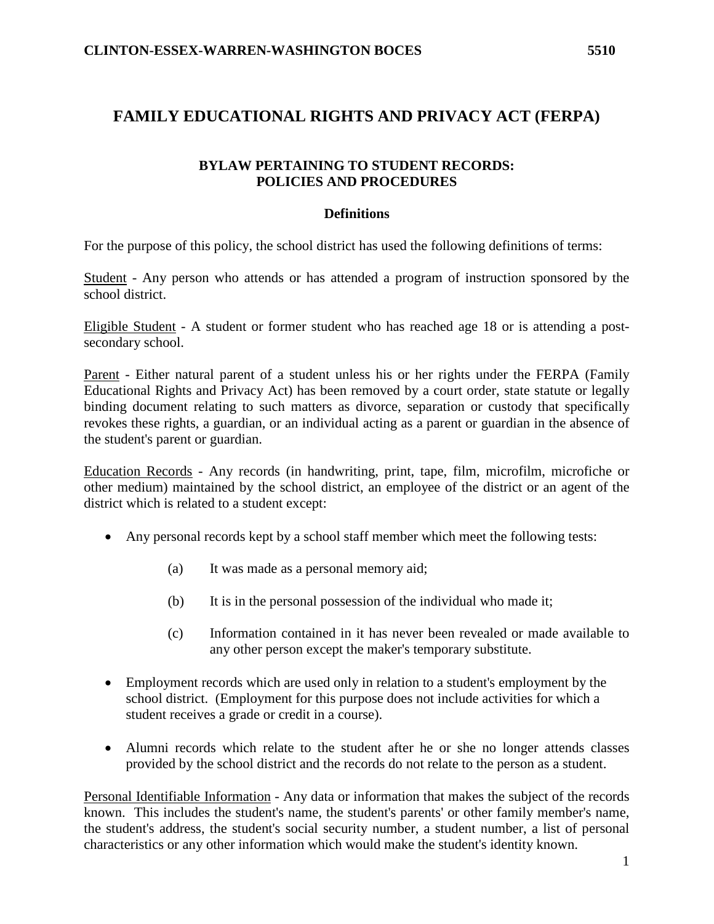# **FAMILY EDUCATIONAL RIGHTS AND PRIVACY ACT (FERPA)**

#### **BYLAW PERTAINING TO STUDENT RECORDS: POLICIES AND PROCEDURES**

#### **Definitions**

For the purpose of this policy, the school district has used the following definitions of terms:

Student - Any person who attends or has attended a program of instruction sponsored by the school district.

Eligible Student - A student or former student who has reached age 18 or is attending a postsecondary school.

Parent - Either natural parent of a student unless his or her rights under the FERPA (Family Educational Rights and Privacy Act) has been removed by a court order, state statute or legally binding document relating to such matters as divorce, separation or custody that specifically revokes these rights, a guardian, or an individual acting as a parent or guardian in the absence of the student's parent or guardian.

Education Records - Any records (in handwriting, print, tape, film, microfilm, microfiche or other medium) maintained by the school district, an employee of the district or an agent of the district which is related to a student except:

- Any personal records kept by a school staff member which meet the following tests:
	- (a) It was made as a personal memory aid;
	- (b) It is in the personal possession of the individual who made it;
	- (c) Information contained in it has never been revealed or made available to any other person except the maker's temporary substitute.
- Employment records which are used only in relation to a student's employment by the school district. (Employment for this purpose does not include activities for which a student receives a grade or credit in a course).
- Alumni records which relate to the student after he or she no longer attends classes provided by the school district and the records do not relate to the person as a student.

Personal Identifiable Information - Any data or information that makes the subject of the records known. This includes the student's name, the student's parents' or other family member's name, the student's address, the student's social security number, a student number, a list of personal characteristics or any other information which would make the student's identity known.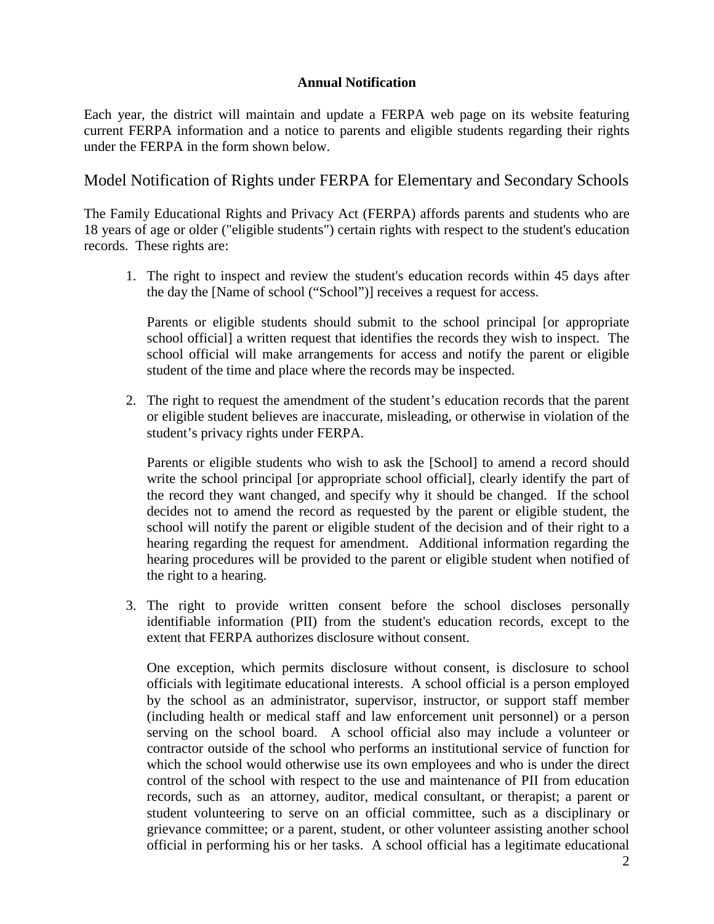### **Annual Notification**

Each year, the district will maintain and update a FERPA web page on its website featuring current FERPA information and a notice to parents and eligible students regarding their rights under the FERPA in the form shown below.

## Model Notification of Rights under FERPA for Elementary and Secondary Schools

The Family Educational Rights and Privacy Act (FERPA) affords parents and students who are 18 years of age or older ("eligible students") certain rights with respect to the student's education records. These rights are:

1. The right to inspect and review the student's education records within 45 days after the day the [Name of school ("School")] receives a request for access.

Parents or eligible students should submit to the school principal [or appropriate school official] a written request that identifies the records they wish to inspect. The school official will make arrangements for access and notify the parent or eligible student of the time and place where the records may be inspected.

2. The right to request the amendment of the student's education records that the parent or eligible student believes are inaccurate, misleading, or otherwise in violation of the student's privacy rights under FERPA.

Parents or eligible students who wish to ask the [School] to amend a record should write the school principal [or appropriate school official], clearly identify the part of the record they want changed, and specify why it should be changed. If the school decides not to amend the record as requested by the parent or eligible student, the school will notify the parent or eligible student of the decision and of their right to a hearing regarding the request for amendment. Additional information regarding the hearing procedures will be provided to the parent or eligible student when notified of the right to a hearing.

3. The right to provide written consent before the school discloses personally identifiable information (PII) from the student's education records, except to the extent that FERPA authorizes disclosure without consent.

One exception, which permits disclosure without consent, is disclosure to school officials with legitimate educational interests. A school official is a person employed by the school as an administrator, supervisor, instructor, or support staff member (including health or medical staff and law enforcement unit personnel) or a person serving on the school board. A school official also may include a volunteer or contractor outside of the school who performs an institutional service of function for which the school would otherwise use its own employees and who is under the direct control of the school with respect to the use and maintenance of PII from education records, such as an attorney, auditor, medical consultant, or therapist; a parent or student volunteering to serve on an official committee, such as a disciplinary or grievance committee; or a parent, student, or other volunteer assisting another school official in performing his or her tasks. A school official has a legitimate educational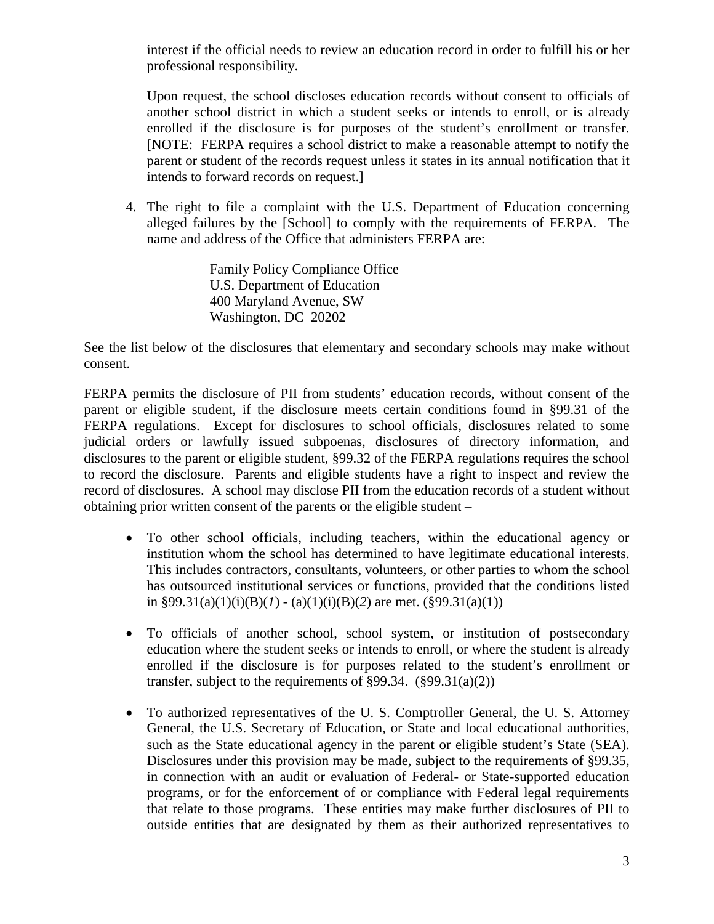interest if the official needs to review an education record in order to fulfill his or her professional responsibility.

Upon request, the school discloses education records without consent to officials of another school district in which a student seeks or intends to enroll, or is already enrolled if the disclosure is for purposes of the student's enrollment or transfer. [NOTE: FERPA requires a school district to make a reasonable attempt to notify the parent or student of the records request unless it states in its annual notification that it intends to forward records on request.]

4. The right to file a complaint with the U.S. Department of Education concerning alleged failures by the [School] to comply with the requirements of FERPA. The name and address of the Office that administers FERPA are:

> Family Policy Compliance Office U.S. Department of Education 400 Maryland Avenue, SW Washington, DC 20202

See the list below of the disclosures that elementary and secondary schools may make without consent.

FERPA permits the disclosure of PII from students' education records, without consent of the parent or eligible student, if the disclosure meets certain conditions found in §99.31 of the FERPA regulations. Except for disclosures to school officials, disclosures related to some judicial orders or lawfully issued subpoenas, disclosures of directory information, and disclosures to the parent or eligible student, §99.32 of the FERPA regulations requires the school to record the disclosure. Parents and eligible students have a right to inspect and review the record of disclosures. A school may disclose PII from the education records of a student without obtaining prior written consent of the parents or the eligible student –

- To other school officials, including teachers, within the educational agency or institution whom the school has determined to have legitimate educational interests. This includes contractors, consultants, volunteers, or other parties to whom the school has outsourced institutional services or functions, provided that the conditions listed in §99.31(a)(1)(i)(B)(*l*) - (a)(1)(i)(B)(2) are met. (§99.31(a)(1))
- To officials of another school, school system, or institution of postsecondary education where the student seeks or intends to enroll, or where the student is already enrolled if the disclosure is for purposes related to the student's enrollment or transfer, subject to the requirements of §99.34. (§99.31(a)(2))
- To authorized representatives of the U. S. Comptroller General, the U. S. Attorney General, the U.S. Secretary of Education, or State and local educational authorities, such as the State educational agency in the parent or eligible student's State (SEA). Disclosures under this provision may be made, subject to the requirements of §99.35, in connection with an audit or evaluation of Federal- or State-supported education programs, or for the enforcement of or compliance with Federal legal requirements that relate to those programs. These entities may make further disclosures of PII to outside entities that are designated by them as their authorized representatives to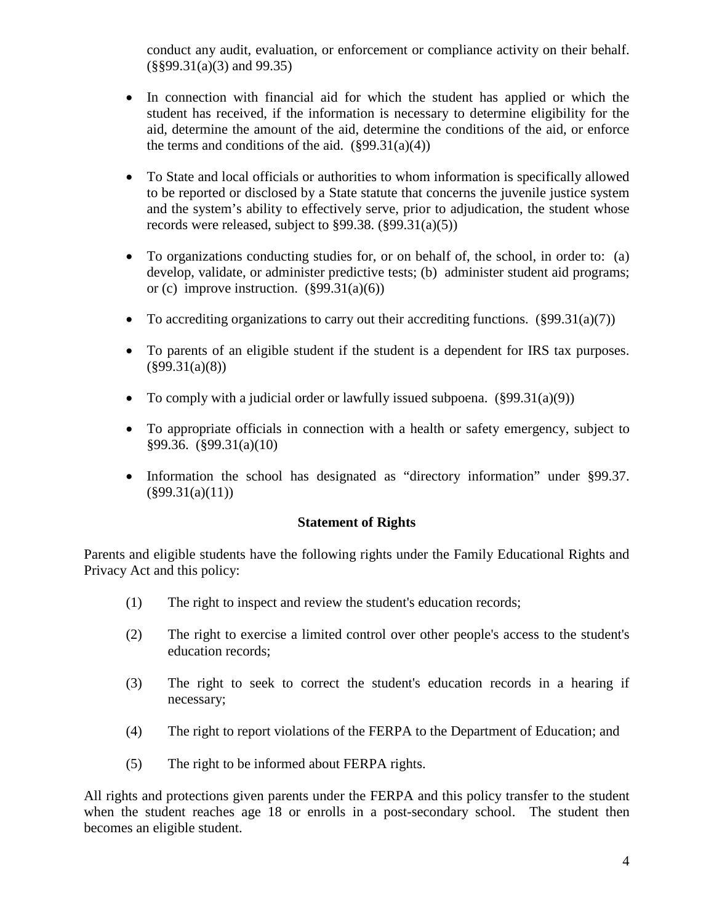conduct any audit, evaluation, or enforcement or compliance activity on their behalf. (§§99.31(a)(3) and 99.35)

- In connection with financial aid for which the student has applied or which the student has received, if the information is necessary to determine eligibility for the aid, determine the amount of the aid, determine the conditions of the aid, or enforce the terms and conditions of the aid.  $(\frac{6}{99.31(a)(4)})$
- To State and local officials or authorities to whom information is specifically allowed to be reported or disclosed by a State statute that concerns the juvenile justice system and the system's ability to effectively serve, prior to adjudication, the student whose records were released, subject to  $\S 99.38$ .  $(\S 99.31(a)(5))$
- To organizations conducting studies for, or on behalf of, the school, in order to: (a) develop, validate, or administer predictive tests; (b) administer student aid programs; or (c) improve instruction.  $(\S 99.31(a)(6))$
- To accrediting organizations to carry out their accrediting functions.  $(\S 99.31(a)(7))$
- To parents of an eligible student if the student is a dependent for IRS tax purposes.  $(\S 99.31(a)(8))$
- To comply with a judicial order or lawfully issued subpoena.  $(\frac{899.31(a)(9)}{99.31(a)(9)}$
- To appropriate officials in connection with a health or safety emergency, subject to §99.36. (§99.31(a)(10)
- Information the school has designated as "directory information" under §99.37.  $(\S 99.31(a)(11))$

#### **Statement of Rights**

Parents and eligible students have the following rights under the Family Educational Rights and Privacy Act and this policy:

- (1) The right to inspect and review the student's education records;
- (2) The right to exercise a limited control over other people's access to the student's education records;
- (3) The right to seek to correct the student's education records in a hearing if necessary;
- (4) The right to report violations of the FERPA to the Department of Education; and
- (5) The right to be informed about FERPA rights.

All rights and protections given parents under the FERPA and this policy transfer to the student when the student reaches age 18 or enrolls in a post-secondary school. The student then becomes an eligible student.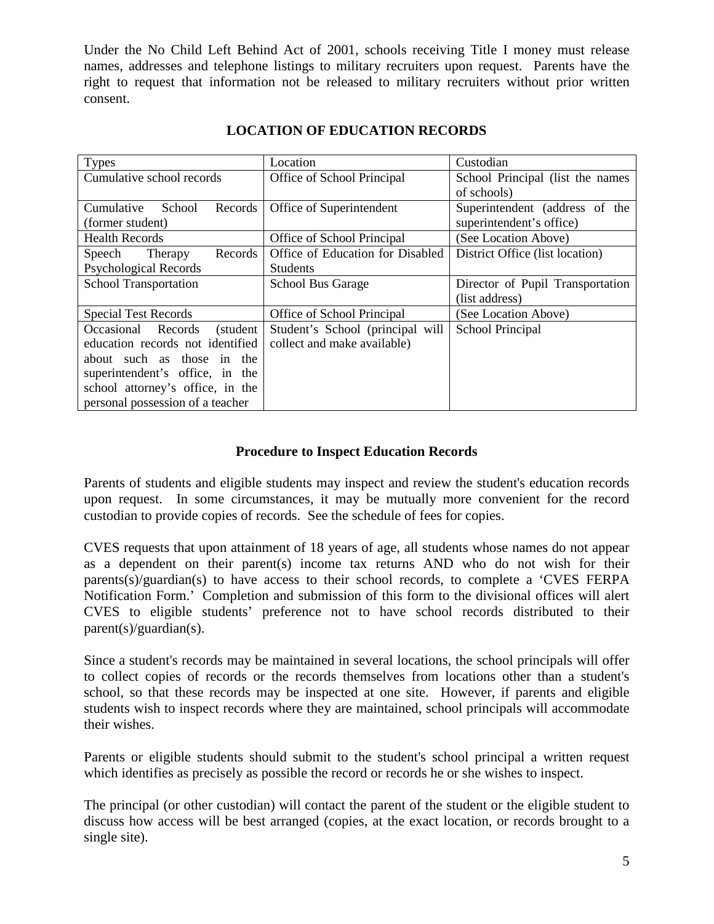Under the No Child Left Behind Act of 2001, schools receiving Title I money must release names, addresses and telephone listings to military recruiters upon request. Parents have the right to request that information not be released to military recruiters without prior written consent.

| <b>Types</b>                           | Location                         | Custodian                        |
|----------------------------------------|----------------------------------|----------------------------------|
| Cumulative school records              | Office of School Principal       | School Principal (list the names |
|                                        |                                  | of schools)                      |
| Cumulative<br><b>School</b><br>Records | Office of Superintendent         | Superintendent (address of the   |
| (former student)                       |                                  | superintendent's office)         |
| <b>Health Records</b>                  | Office of School Principal       | (See Location Above)             |
| Records<br>Speech Therapy              | Office of Education for Disabled | District Office (list location)  |
| <b>Psychological Records</b>           | <b>Students</b>                  |                                  |
| <b>School Transportation</b>           | <b>School Bus Garage</b>         | Director of Pupil Transportation |
|                                        |                                  | (list address)                   |
| <b>Special Test Records</b>            | Office of School Principal       | (See Location Above)             |
| Occasional Records<br>(student)        | Student's School (principal will | School Principal                 |
| education records not identified       | collect and make available)      |                                  |
| about such as those in the             |                                  |                                  |
| superintendent's office, in the        |                                  |                                  |
| school attorney's office, in the       |                                  |                                  |
| personal possession of a teacher       |                                  |                                  |

## **LOCATION OF EDUCATION RECORDS**

#### **Procedure to Inspect Education Records**

Parents of students and eligible students may inspect and review the student's education records upon request. In some circumstances, it may be mutually more convenient for the record custodian to provide copies of records. See the schedule of fees for copies.

CVES requests that upon attainment of 18 years of age, all students whose names do not appear as a dependent on their parent(s) income tax returns AND who do not wish for their parents(s)/guardian(s) to have access to their school records, to complete a 'CVES FERPA Notification Form.' Completion and submission of this form to the divisional offices will alert CVES to eligible students' preference not to have school records distributed to their parent(s)/guardian(s).

Since a student's records may be maintained in several locations, the school principals will offer to collect copies of records or the records themselves from locations other than a student's school, so that these records may be inspected at one site. However, if parents and eligible students wish to inspect records where they are maintained, school principals will accommodate their wishes.

Parents or eligible students should submit to the student's school principal a written request which identifies as precisely as possible the record or records he or she wishes to inspect.

The principal (or other custodian) will contact the parent of the student or the eligible student to discuss how access will be best arranged (copies, at the exact location, or records brought to a single site).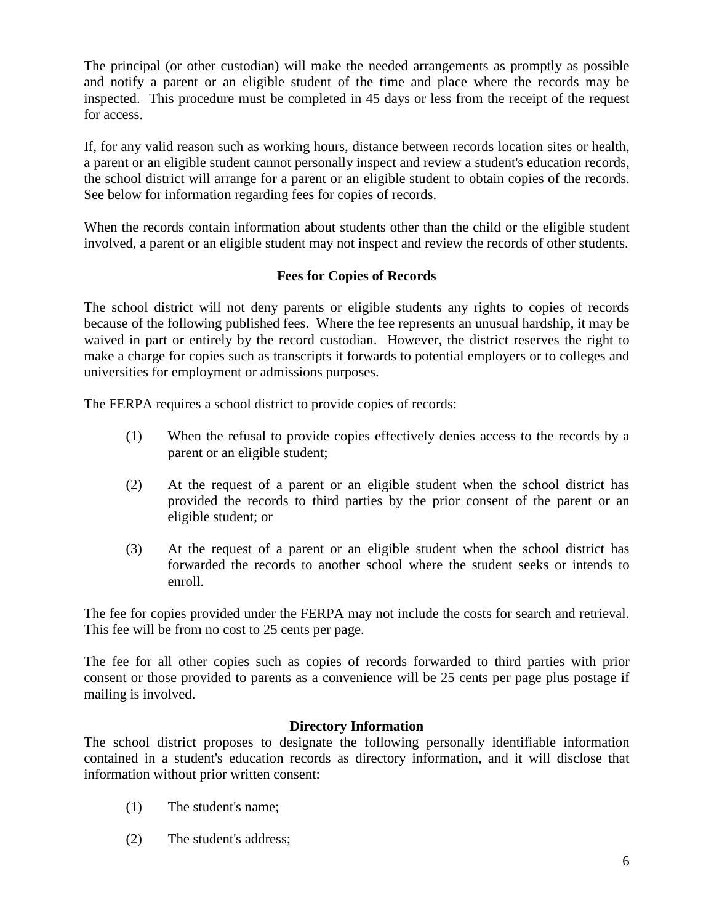The principal (or other custodian) will make the needed arrangements as promptly as possible and notify a parent or an eligible student of the time and place where the records may be inspected. This procedure must be completed in 45 days or less from the receipt of the request for access.

If, for any valid reason such as working hours, distance between records location sites or health, a parent or an eligible student cannot personally inspect and review a student's education records, the school district will arrange for a parent or an eligible student to obtain copies of the records. See below for information regarding fees for copies of records.

When the records contain information about students other than the child or the eligible student involved, a parent or an eligible student may not inspect and review the records of other students.

## **Fees for Copies of Records**

The school district will not deny parents or eligible students any rights to copies of records because of the following published fees. Where the fee represents an unusual hardship, it may be waived in part or entirely by the record custodian. However, the district reserves the right to make a charge for copies such as transcripts it forwards to potential employers or to colleges and universities for employment or admissions purposes.

The FERPA requires a school district to provide copies of records:

- (1) When the refusal to provide copies effectively denies access to the records by a parent or an eligible student;
- (2) At the request of a parent or an eligible student when the school district has provided the records to third parties by the prior consent of the parent or an eligible student; or
- (3) At the request of a parent or an eligible student when the school district has forwarded the records to another school where the student seeks or intends to enroll.

The fee for copies provided under the FERPA may not include the costs for search and retrieval. This fee will be from no cost to 25 cents per page.

The fee for all other copies such as copies of records forwarded to third parties with prior consent or those provided to parents as a convenience will be 25 cents per page plus postage if mailing is involved.

#### **Directory Information**

The school district proposes to designate the following personally identifiable information contained in a student's education records as directory information, and it will disclose that information without prior written consent:

- (1) The student's name;
- (2) The student's address;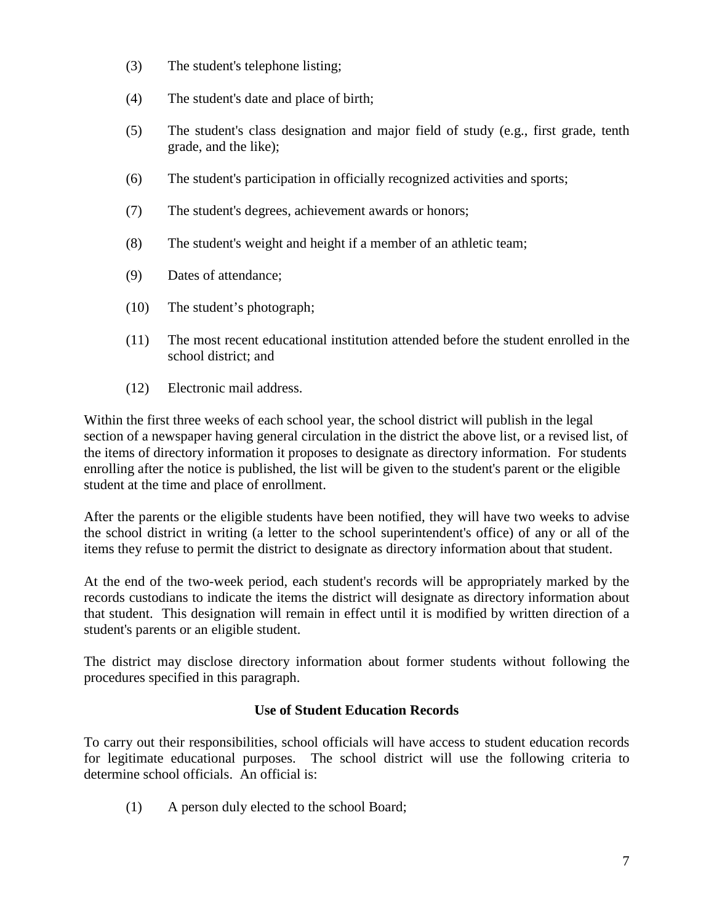- (3) The student's telephone listing;
- (4) The student's date and place of birth;
- (5) The student's class designation and major field of study (e.g., first grade, tenth grade, and the like);
- (6) The student's participation in officially recognized activities and sports;
- (7) The student's degrees, achievement awards or honors;
- (8) The student's weight and height if a member of an athletic team;
- (9) Dates of attendance;
- (10) The student's photograph;
- (11) The most recent educational institution attended before the student enrolled in the school district; and
- (12) Electronic mail address.

Within the first three weeks of each school year, the school district will publish in the legal section of a newspaper having general circulation in the district the above list, or a revised list, of the items of directory information it proposes to designate as directory information. For students enrolling after the notice is published, the list will be given to the student's parent or the eligible student at the time and place of enrollment.

After the parents or the eligible students have been notified, they will have two weeks to advise the school district in writing (a letter to the school superintendent's office) of any or all of the items they refuse to permit the district to designate as directory information about that student.

At the end of the two-week period, each student's records will be appropriately marked by the records custodians to indicate the items the district will designate as directory information about that student. This designation will remain in effect until it is modified by written direction of a student's parents or an eligible student.

The district may disclose directory information about former students without following the procedures specified in this paragraph.

## **Use of Student Education Records**

To carry out their responsibilities, school officials will have access to student education records for legitimate educational purposes. The school district will use the following criteria to determine school officials. An official is:

(1) A person duly elected to the school Board;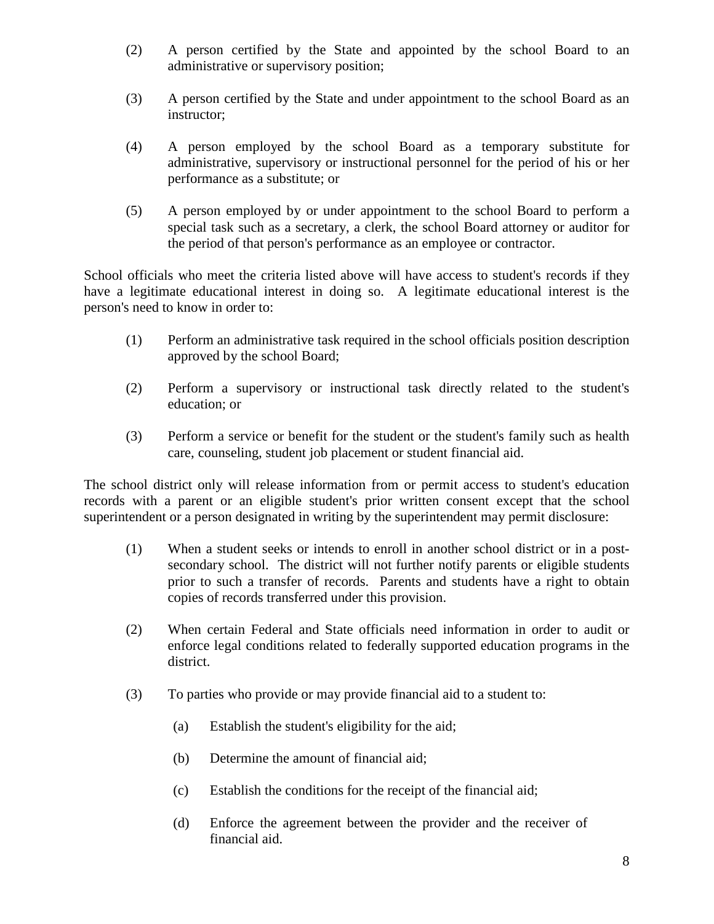- (2) A person certified by the State and appointed by the school Board to an administrative or supervisory position;
- (3) A person certified by the State and under appointment to the school Board as an instructor;
- (4) A person employed by the school Board as a temporary substitute for administrative, supervisory or instructional personnel for the period of his or her performance as a substitute; or
- (5) A person employed by or under appointment to the school Board to perform a special task such as a secretary, a clerk, the school Board attorney or auditor for the period of that person's performance as an employee or contractor.

School officials who meet the criteria listed above will have access to student's records if they have a legitimate educational interest in doing so. A legitimate educational interest is the person's need to know in order to:

- (1) Perform an administrative task required in the school officials position description approved by the school Board;
- (2) Perform a supervisory or instructional task directly related to the student's education; or
- (3) Perform a service or benefit for the student or the student's family such as health care, counseling, student job placement or student financial aid.

The school district only will release information from or permit access to student's education records with a parent or an eligible student's prior written consent except that the school superintendent or a person designated in writing by the superintendent may permit disclosure:

- (1) When a student seeks or intends to enroll in another school district or in a postsecondary school. The district will not further notify parents or eligible students prior to such a transfer of records. Parents and students have a right to obtain copies of records transferred under this provision.
- (2) When certain Federal and State officials need information in order to audit or enforce legal conditions related to federally supported education programs in the district.
- (3) To parties who provide or may provide financial aid to a student to:
	- (a) Establish the student's eligibility for the aid;
	- (b) Determine the amount of financial aid;
	- (c) Establish the conditions for the receipt of the financial aid;
	- (d) Enforce the agreement between the provider and the receiver of financial aid.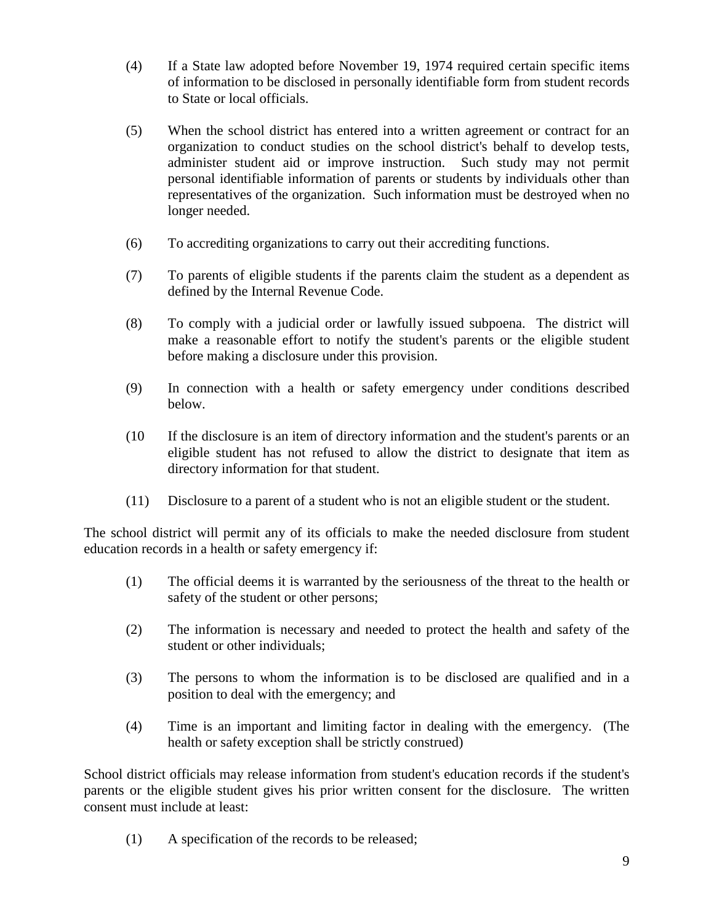- (4) If a State law adopted before November 19, 1974 required certain specific items of information to be disclosed in personally identifiable form from student records to State or local officials.
- (5) When the school district has entered into a written agreement or contract for an organization to conduct studies on the school district's behalf to develop tests, administer student aid or improve instruction. Such study may not permit personal identifiable information of parents or students by individuals other than representatives of the organization. Such information must be destroyed when no longer needed.
- (6) To accrediting organizations to carry out their accrediting functions.
- (7) To parents of eligible students if the parents claim the student as a dependent as defined by the Internal Revenue Code.
- (8) To comply with a judicial order or lawfully issued subpoena. The district will make a reasonable effort to notify the student's parents or the eligible student before making a disclosure under this provision.
- (9) In connection with a health or safety emergency under conditions described below.
- (10 If the disclosure is an item of directory information and the student's parents or an eligible student has not refused to allow the district to designate that item as directory information for that student.
- (11) Disclosure to a parent of a student who is not an eligible student or the student.

The school district will permit any of its officials to make the needed disclosure from student education records in a health or safety emergency if:

- (1) The official deems it is warranted by the seriousness of the threat to the health or safety of the student or other persons;
- (2) The information is necessary and needed to protect the health and safety of the student or other individuals;
- (3) The persons to whom the information is to be disclosed are qualified and in a position to deal with the emergency; and
- (4) Time is an important and limiting factor in dealing with the emergency. (The health or safety exception shall be strictly construed)

School district officials may release information from student's education records if the student's parents or the eligible student gives his prior written consent for the disclosure. The written consent must include at least:

(1) A specification of the records to be released;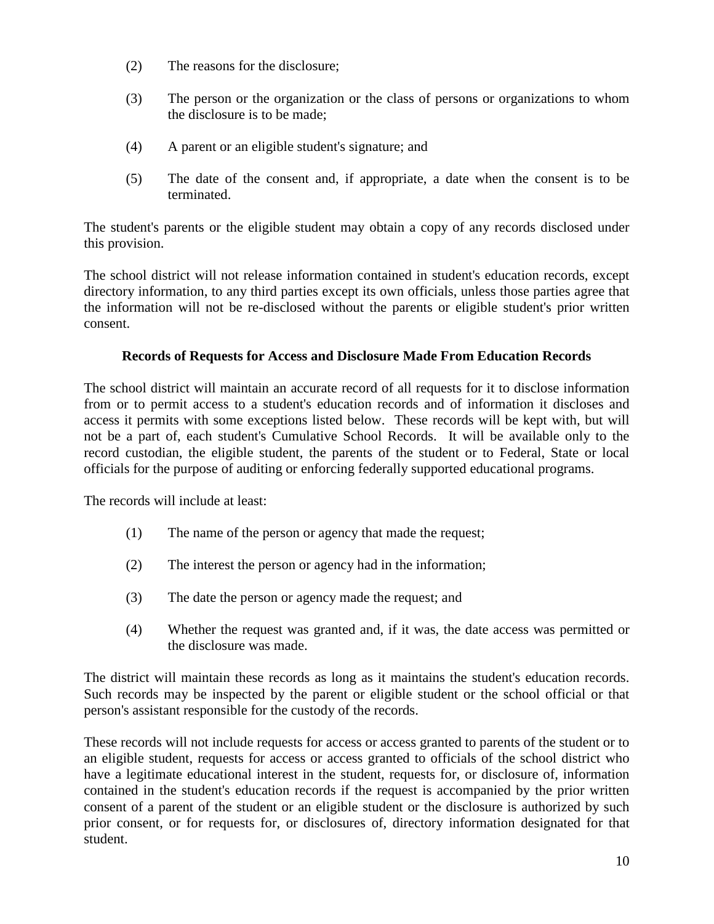- (2) The reasons for the disclosure;
- (3) The person or the organization or the class of persons or organizations to whom the disclosure is to be made;
- (4) A parent or an eligible student's signature; and
- (5) The date of the consent and, if appropriate, a date when the consent is to be terminated.

The student's parents or the eligible student may obtain a copy of any records disclosed under this provision.

The school district will not release information contained in student's education records, except directory information, to any third parties except its own officials, unless those parties agree that the information will not be re-disclosed without the parents or eligible student's prior written consent.

#### **Records of Requests for Access and Disclosure Made From Education Records**

The school district will maintain an accurate record of all requests for it to disclose information from or to permit access to a student's education records and of information it discloses and access it permits with some exceptions listed below. These records will be kept with, but will not be a part of, each student's Cumulative School Records. It will be available only to the record custodian, the eligible student, the parents of the student or to Federal, State or local officials for the purpose of auditing or enforcing federally supported educational programs.

The records will include at least:

- (1) The name of the person or agency that made the request;
- (2) The interest the person or agency had in the information;
- (3) The date the person or agency made the request; and
- (4) Whether the request was granted and, if it was, the date access was permitted or the disclosure was made.

The district will maintain these records as long as it maintains the student's education records. Such records may be inspected by the parent or eligible student or the school official or that person's assistant responsible for the custody of the records.

These records will not include requests for access or access granted to parents of the student or to an eligible student, requests for access or access granted to officials of the school district who have a legitimate educational interest in the student, requests for, or disclosure of, information contained in the student's education records if the request is accompanied by the prior written consent of a parent of the student or an eligible student or the disclosure is authorized by such prior consent, or for requests for, or disclosures of, directory information designated for that student.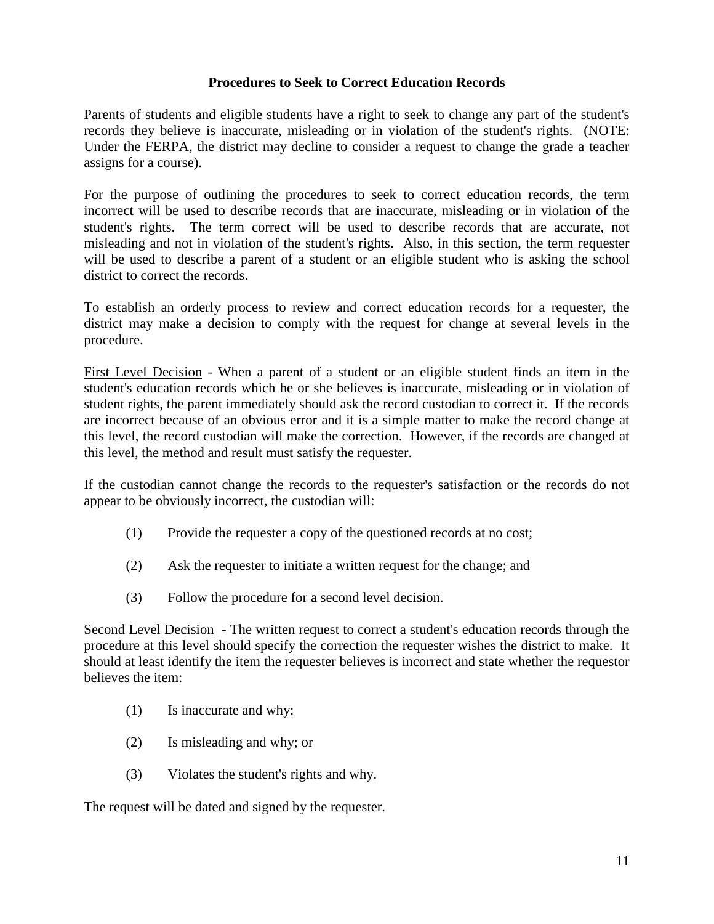### **Procedures to Seek to Correct Education Records**

Parents of students and eligible students have a right to seek to change any part of the student's records they believe is inaccurate, misleading or in violation of the student's rights. (NOTE: Under the FERPA, the district may decline to consider a request to change the grade a teacher assigns for a course).

For the purpose of outlining the procedures to seek to correct education records, the term incorrect will be used to describe records that are inaccurate, misleading or in violation of the student's rights. The term correct will be used to describe records that are accurate, not misleading and not in violation of the student's rights. Also, in this section, the term requester will be used to describe a parent of a student or an eligible student who is asking the school district to correct the records.

To establish an orderly process to review and correct education records for a requester, the district may make a decision to comply with the request for change at several levels in the procedure.

First Level Decision - When a parent of a student or an eligible student finds an item in the student's education records which he or she believes is inaccurate, misleading or in violation of student rights, the parent immediately should ask the record custodian to correct it. If the records are incorrect because of an obvious error and it is a simple matter to make the record change at this level, the record custodian will make the correction. However, if the records are changed at this level, the method and result must satisfy the requester.

If the custodian cannot change the records to the requester's satisfaction or the records do not appear to be obviously incorrect, the custodian will:

- (1) Provide the requester a copy of the questioned records at no cost;
- (2) Ask the requester to initiate a written request for the change; and
- (3) Follow the procedure for a second level decision.

Second Level Decision - The written request to correct a student's education records through the procedure at this level should specify the correction the requester wishes the district to make. It should at least identify the item the requester believes is incorrect and state whether the requestor believes the item:

- (1) Is inaccurate and why;
- (2) Is misleading and why; or
- (3) Violates the student's rights and why.

The request will be dated and signed by the requester.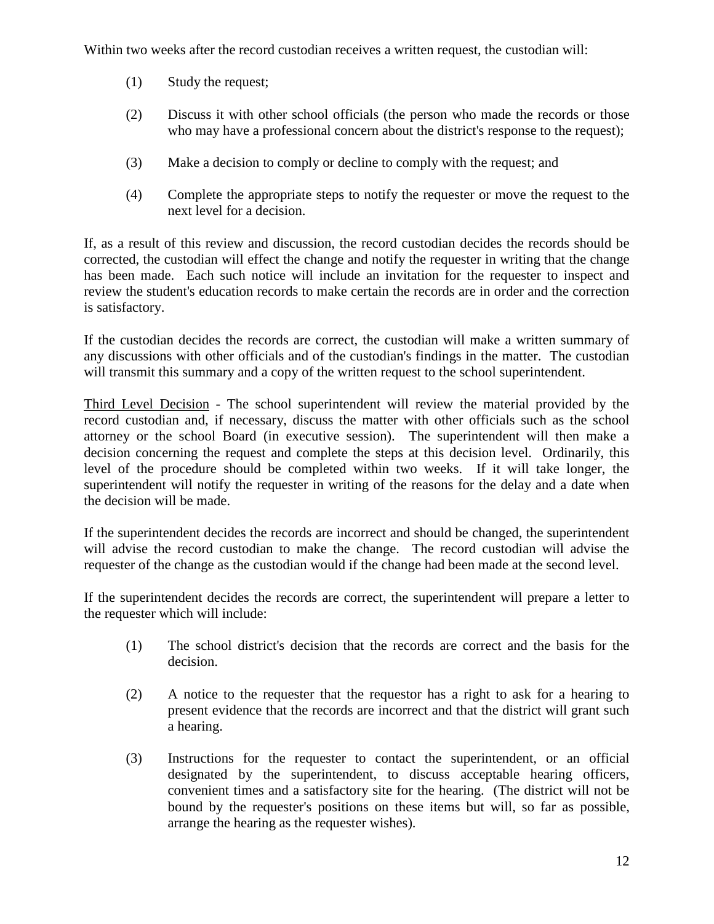Within two weeks after the record custodian receives a written request, the custodian will:

- (1) Study the request;
- (2) Discuss it with other school officials (the person who made the records or those who may have a professional concern about the district's response to the request);
- (3) Make a decision to comply or decline to comply with the request; and
- (4) Complete the appropriate steps to notify the requester or move the request to the next level for a decision.

If, as a result of this review and discussion, the record custodian decides the records should be corrected, the custodian will effect the change and notify the requester in writing that the change has been made. Each such notice will include an invitation for the requester to inspect and review the student's education records to make certain the records are in order and the correction is satisfactory.

If the custodian decides the records are correct, the custodian will make a written summary of any discussions with other officials and of the custodian's findings in the matter. The custodian will transmit this summary and a copy of the written request to the school superintendent.

Third Level Decision - The school superintendent will review the material provided by the record custodian and, if necessary, discuss the matter with other officials such as the school attorney or the school Board (in executive session). The superintendent will then make a decision concerning the request and complete the steps at this decision level. Ordinarily, this level of the procedure should be completed within two weeks. If it will take longer, the superintendent will notify the requester in writing of the reasons for the delay and a date when the decision will be made.

If the superintendent decides the records are incorrect and should be changed, the superintendent will advise the record custodian to make the change. The record custodian will advise the requester of the change as the custodian would if the change had been made at the second level.

If the superintendent decides the records are correct, the superintendent will prepare a letter to the requester which will include:

- (1) The school district's decision that the records are correct and the basis for the decision.
- (2) A notice to the requester that the requestor has a right to ask for a hearing to present evidence that the records are incorrect and that the district will grant such a hearing.
- (3) Instructions for the requester to contact the superintendent, or an official designated by the superintendent, to discuss acceptable hearing officers, convenient times and a satisfactory site for the hearing. (The district will not be bound by the requester's positions on these items but will, so far as possible, arrange the hearing as the requester wishes).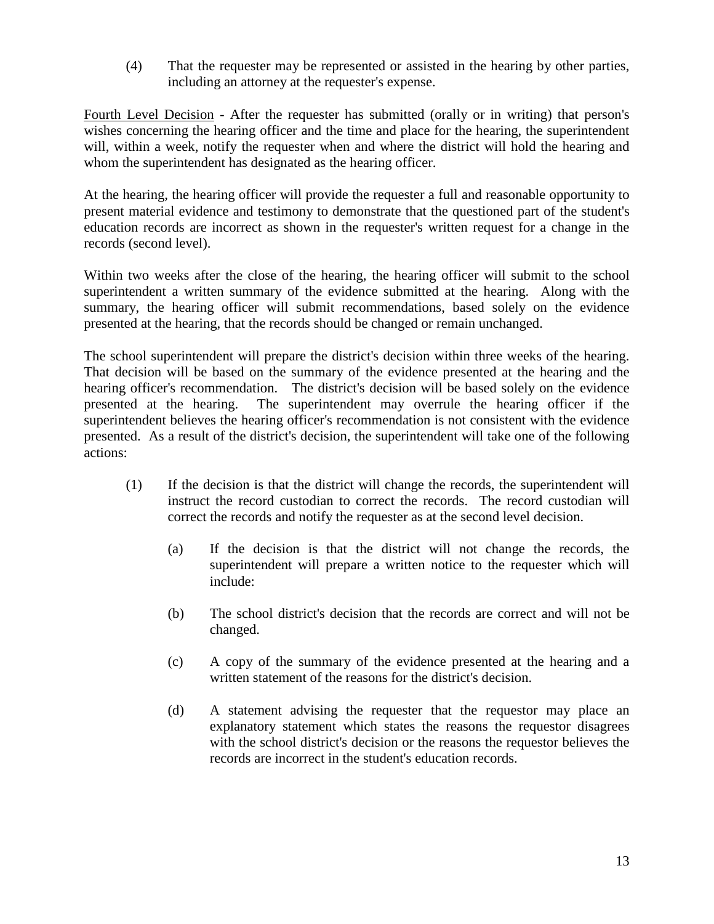(4) That the requester may be represented or assisted in the hearing by other parties, including an attorney at the requester's expense.

Fourth Level Decision - After the requester has submitted (orally or in writing) that person's wishes concerning the hearing officer and the time and place for the hearing, the superintendent will, within a week, notify the requester when and where the district will hold the hearing and whom the superintendent has designated as the hearing officer.

At the hearing, the hearing officer will provide the requester a full and reasonable opportunity to present material evidence and testimony to demonstrate that the questioned part of the student's education records are incorrect as shown in the requester's written request for a change in the records (second level).

Within two weeks after the close of the hearing, the hearing officer will submit to the school superintendent a written summary of the evidence submitted at the hearing. Along with the summary, the hearing officer will submit recommendations, based solely on the evidence presented at the hearing, that the records should be changed or remain unchanged.

The school superintendent will prepare the district's decision within three weeks of the hearing. That decision will be based on the summary of the evidence presented at the hearing and the hearing officer's recommendation. The district's decision will be based solely on the evidence presented at the hearing. The superintendent may overrule the hearing officer if the superintendent believes the hearing officer's recommendation is not consistent with the evidence presented. As a result of the district's decision, the superintendent will take one of the following actions:

- (1) If the decision is that the district will change the records, the superintendent will instruct the record custodian to correct the records. The record custodian will correct the records and notify the requester as at the second level decision.
	- (a) If the decision is that the district will not change the records, the superintendent will prepare a written notice to the requester which will include:
	- (b) The school district's decision that the records are correct and will not be changed.
	- (c) A copy of the summary of the evidence presented at the hearing and a written statement of the reasons for the district's decision.
	- (d) A statement advising the requester that the requestor may place an explanatory statement which states the reasons the requestor disagrees with the school district's decision or the reasons the requestor believes the records are incorrect in the student's education records.